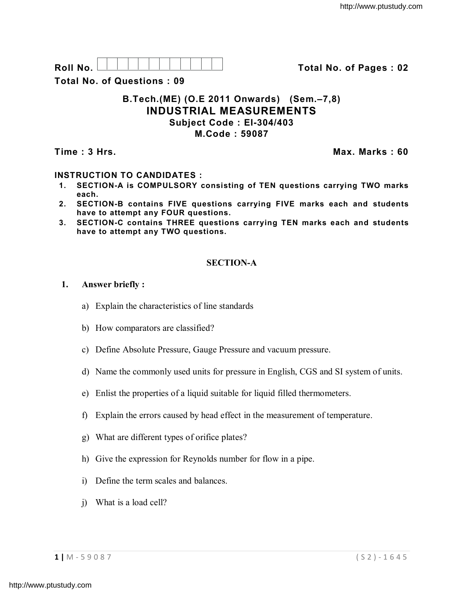Roll No. <u>And I And I Alexander Hermitide Collinson Total No.</u> of Pages : 02

**Total No. of Questions : 09**

# **B.Tech.(ME) (O.E 2011 Onwards) (Sem.–7,8) INDUSTRIAL MEASUREMENTS Subject Code : EI-304/403 M.Code : 59087**

**Time : 3 Hrs. Max. Marks : 60**

# **INSTRUCTION TO CANDIDATES :**

- **1. SECTION-A is COMPULSORY consisting of TEN questions carrying TWO marks each.**
- **2. SECTION-B contains FIVE questions carrying FIVE marks each and students have to attempt any FOUR questions.**
- **3. SECTION-C contains THREE questions carrying TEN marks each and students have to attempt any TWO questions.**

# **SECTION-A**

## **1. Answer briefly :**

- a) Explain the characteristics of line standards
- b) How comparators are classified?
- c) Define Absolute Pressure, Gauge Pressure and vacuum pressure.
- d) Name the commonly used units for pressure in English, CGS and SI system of units.
- e) Enlist the properties of a liquid suitable for liquid filled thermometers.
- f) Explain the errors caused by head effect in the measurement of temperature.
- g) What are different types of orifice plates?
- h) Give the expression for Reynolds number for flow in a pipe.
- i) Define the term scales and balances.
- j) What is a load cell?